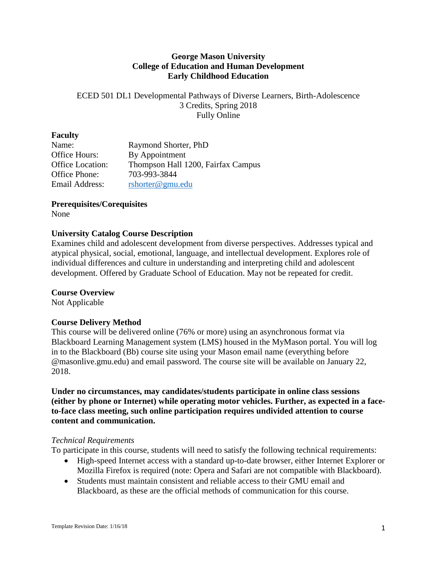## **George Mason University College of Education and Human Development Early Childhood Education**

# ECED 501 DL1 Developmental Pathways of Diverse Learners, Birth-Adolescence 3 Credits, Spring 2018 Fully Online

## **Faculty**

| Name:                   | Raymond Shorter, PhD               |
|-------------------------|------------------------------------|
| Office Hours:           | By Appointment                     |
| <b>Office Location:</b> | Thompson Hall 1200, Fairfax Campus |
| Office Phone:           | 703-993-3844                       |
| Email Address:          | rshorter@gmu.edu                   |

**Prerequisites/Corequisites**

None

# **University Catalog Course Description**

Examines child and adolescent development from diverse perspectives. Addresses typical and atypical physical, social, emotional, language, and intellectual development. Explores role of individual differences and culture in understanding and interpreting child and adolescent development. Offered by Graduate School of Education. May not be repeated for credit.

# **Course Overview**

Not Applicable

# **Course Delivery Method**

This course will be delivered online (76% or more) using an asynchronous format via Blackboard Learning Management system (LMS) housed in the MyMason portal. You will log in to the Blackboard (Bb) course site using your Mason email name (everything before @masonlive.gmu.edu) and email password. The course site will be available on January 22, 2018.

**Under no circumstances, may candidates/students participate in online class sessions (either by phone or Internet) while operating motor vehicles. Further, as expected in a faceto-face class meeting, such online participation requires undivided attention to course content and communication.**

### *Technical Requirements*

To participate in this course, students will need to satisfy the following technical requirements:

- High-speed Internet access with a standard up-to-date browser, either Internet Explorer or Mozilla Firefox is required (note: Opera and Safari are not compatible with Blackboard).
- Students must maintain consistent and reliable access to their GMU email and Blackboard, as these are the official methods of communication for this course.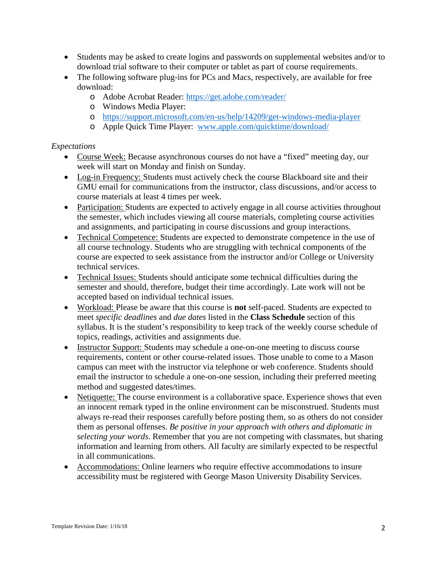- Students may be asked to create logins and passwords on supplemental websites and/or to download trial software to their computer or tablet as part of course requirements.
- The following software plug-ins for PCs and Macs, respectively, are available for free download:
	- o Adobe Acrobat Reader:<https://get.adobe.com/reader/>
	- o Windows Media Player:
	- o <https://support.microsoft.com/en-us/help/14209/get-windows-media-player>
	- o Apple Quick Time Player: [www.apple.com/quicktime/download/](http://www.apple.com/quicktime/download/)

# *Expectations*

- Course Week: Because asynchronous courses do not have a "fixed" meeting day, our week will start on Monday and finish on Sunday.
- Log-in Frequency: Students must actively check the course Blackboard site and their GMU email for communications from the instructor, class discussions, and/or access to course materials at least 4 times per week.
- Participation: Students are expected to actively engage in all course activities throughout the semester, which includes viewing all course materials, completing course activities and assignments, and participating in course discussions and group interactions.
- Technical Competence: Students are expected to demonstrate competence in the use of all course technology. Students who are struggling with technical components of the course are expected to seek assistance from the instructor and/or College or University technical services.
- Technical Issues: Students should anticipate some technical difficulties during the semester and should, therefore, budget their time accordingly. Late work will not be accepted based on individual technical issues.
- Workload: Please be aware that this course is **not** self-paced. Students are expected to meet *specific deadlines* and *due dates* listed in the **Class Schedule** section of this syllabus. It is the student's responsibility to keep track of the weekly course schedule of topics, readings, activities and assignments due.
- Instructor Support: Students may schedule a one-on-one meeting to discuss course requirements, content or other course-related issues. Those unable to come to a Mason campus can meet with the instructor via telephone or web conference. Students should email the instructor to schedule a one-on-one session, including their preferred meeting method and suggested dates/times.
- Netiquette: The course environment is a collaborative space. Experience shows that even an innocent remark typed in the online environment can be misconstrued. Students must always re-read their responses carefully before posting them, so as others do not consider them as personal offenses. *Be positive in your approach with others and diplomatic in selecting your words*. Remember that you are not competing with classmates, but sharing information and learning from others. All faculty are similarly expected to be respectful in all communications.
- Accommodations: Online learners who require effective accommodations to insure accessibility must be registered with George Mason University Disability Services.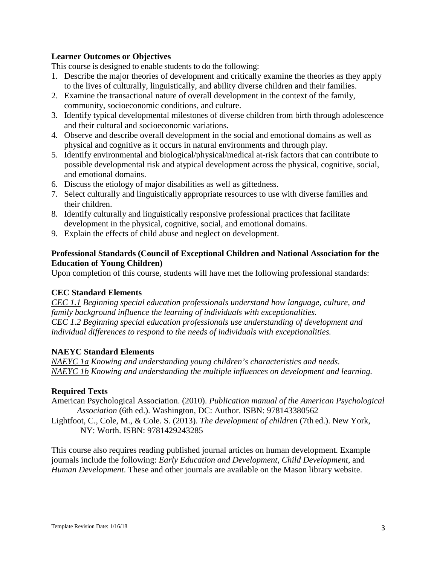## **Learner Outcomes or Objectives**

This course is designed to enable students to do the following:

- 1. Describe the major theories of development and critically examine the theories as they apply to the lives of culturally, linguistically, and ability diverse children and their families.
- 2. Examine the transactional nature of overall development in the context of the family, community, socioeconomic conditions, and culture.
- 3. Identify typical developmental milestones of diverse children from birth through adolescence and their cultural and socioeconomic variations.
- 4. Observe and describe overall development in the social and emotional domains as well as physical and cognitive as it occurs in natural environments and through play.
- 5. Identify environmental and biological/physical/medical at-risk factors that can contribute to possible developmental risk and atypical development across the physical, cognitive, social, and emotional domains.
- 6. Discuss the etiology of major disabilities as well as giftedness.
- 7. Select culturally and linguistically appropriate resources to use with diverse families and their children.
- 8. Identify culturally and linguistically responsive professional practices that facilitate development in the physical, cognitive, social, and emotional domains.
- 9. Explain the effects of child abuse and neglect on development.

# **Professional Standards (Council of Exceptional Children and National Association for the Education of Young Children)**

Upon completion of this course, students will have met the following professional standards:

# **CEC Standard Elements**

*CEC 1.1 Beginning special education professionals understand how language, culture, and family background influence the learning of individuals with exceptionalities. CEC 1.2 Beginning special education professionals use understanding of development and individual differences to respond to the needs of individuals with exceptionalities.*

### **NAEYC Standard Elements**

*NAEYC 1a Knowing and understanding young children's characteristics and needs. NAEYC 1b Knowing and understanding the multiple influences on development and learning.*

### **Required Texts**

American Psychological Association. (2010). *Publication manual of the American Psychological Association* (6th ed.). Washington, DC: Author. ISBN: 978143380562

Lightfoot, C., Cole, M., & Cole. S. (2013). *The development of children* (7th ed.). New York, NY: Worth. ISBN: 9781429243285

This course also requires reading published journal articles on human development. Example journals include the following: *Early Education and Development*, *Child Development*, and *Human Development*. These and other journals are available on the Mason library website.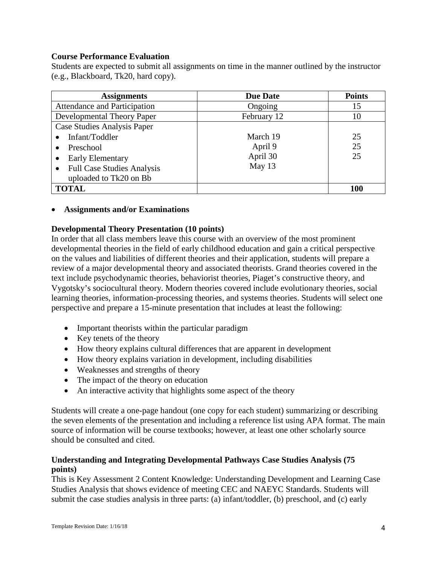### **Course Performance Evaluation**

Students are expected to submit all assignments on time in the manner outlined by the instructor (e.g., Blackboard, Tk20, hard copy).

| <b>Assignments</b>                             | <b>Due Date</b> | <b>Points</b> |
|------------------------------------------------|-----------------|---------------|
| Attendance and Participation                   | Ongoing         | 15            |
| Developmental Theory Paper                     | February 12     | 10            |
| Case Studies Analysis Paper                    |                 |               |
| Infant/Toddler                                 | March 19        | 25            |
| Preschool                                      | April 9         | 25            |
| <b>Early Elementary</b>                        | April 30        | 25            |
| <b>Full Case Studies Analysis</b><br>$\bullet$ | May 13          |               |
| uploaded to Tk20 on Bb                         |                 |               |
| <b>TOTAL</b>                                   |                 | 100           |

### • **Assignments and/or Examinations**

## **Developmental Theory Presentation (10 points)**

In order that all class members leave this course with an overview of the most prominent developmental theories in the field of early childhood education and gain a critical perspective on the values and liabilities of different theories and their application, students will prepare a review of a major developmental theory and associated theorists. Grand theories covered in the text include psychodynamic theories, behaviorist theories, Piaget's constructive theory, and Vygotsky's sociocultural theory. Modern theories covered include evolutionary theories, social learning theories, information-processing theories, and systems theories. Students will select one perspective and prepare a 15-minute presentation that includes at least the following:

- Important theorists within the particular paradigm
- Key tenets of the theory
- How theory explains cultural differences that are apparent in development
- How theory explains variation in development, including disabilities
- Weaknesses and strengths of theory
- The impact of the theory on education
- An interactive activity that highlights some aspect of the theory

Students will create a one-page handout (one copy for each student) summarizing or describing the seven elements of the presentation and including a reference list using APA format. The main source of information will be course textbooks; however, at least one other scholarly source should be consulted and cited.

## **Understanding and Integrating Developmental Pathways Case Studies Analysis (75 points)**

This is Key Assessment 2 Content Knowledge: Understanding Development and Learning Case Studies Analysis that shows evidence of meeting CEC and NAEYC Standards. Students will submit the case studies analysis in three parts: (a) infant/toddler, (b) preschool, and (c) early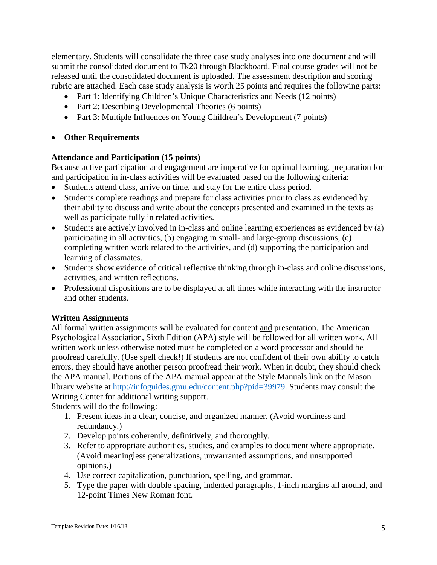elementary. Students will consolidate the three case study analyses into one document and will submit the consolidated document to Tk20 through Blackboard. Final course grades will not be released until the consolidated document is uploaded. The assessment description and scoring rubric are attached. Each case study analysis is worth 25 points and requires the following parts:

- Part 1: Identifying Children's Unique Characteristics and Needs (12 points)
- Part 2: Describing Developmental Theories (6 points)
- Part 3: Multiple Influences on Young Children's Development (7 points)

#### • **Other Requirements**

#### **Attendance and Participation (15 points)**

Because active participation and engagement are imperative for optimal learning, preparation for and participation in in-class activities will be evaluated based on the following criteria:

- Students attend class, arrive on time, and stay for the entire class period.
- Students complete readings and prepare for class activities prior to class as evidenced by their ability to discuss and write about the concepts presented and examined in the texts as well as participate fully in related activities.
- Students are actively involved in in-class and online learning experiences as evidenced by (a) participating in all activities, (b) engaging in small- and large-group discussions, (c) completing written work related to the activities, and (d) supporting the participation and learning of classmates.
- Students show evidence of critical reflective thinking through in-class and online discussions, activities, and written reflections.
- Professional dispositions are to be displayed at all times while interacting with the instructor and other students.

#### **Written Assignments**

All formal written assignments will be evaluated for content and presentation. The American Psychological Association, Sixth Edition (APA) style will be followed for all written work. All written work unless otherwise noted must be completed on a word processor and should be proofread carefully. (Use spell check!) If students are not confident of their own ability to catch errors, they should have another person proofread their work. When in doubt, they should check the APA manual. Portions of the APA manual appear at the Style Manuals link on the Mason library website at [http://infoguides.gmu.edu/content.php?pid=39979.](http://infoguides.gmu.edu/content.php?pid=39979) Students may consult the Writing Center for additional writing support.

Students will do the following:

- 1. Present ideas in a clear, concise, and organized manner. (Avoid wordiness and redundancy.)
- 2. Develop points coherently, definitively, and thoroughly.
- 3. Refer to appropriate authorities, studies, and examples to document where appropriate. (Avoid meaningless generalizations, unwarranted assumptions, and unsupported opinions.)
- 4. Use correct capitalization, punctuation, spelling, and grammar.
- 5. Type the paper with double spacing, indented paragraphs, 1-inch margins all around, and 12-point Times New Roman font.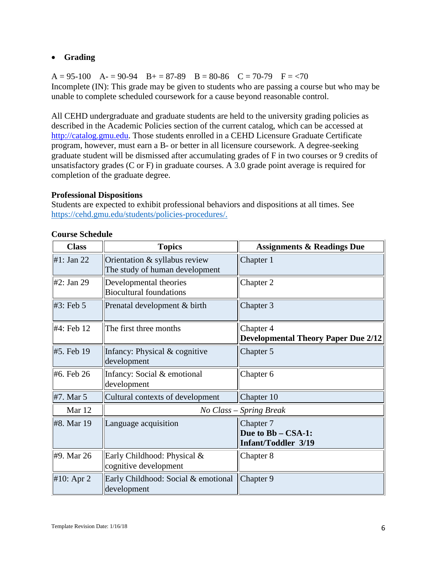# • **Grading**

 $A = 95-100$   $A = 90-94$   $B = 87-89$   $B = 80-86$   $C = 70-79$   $F = < 70$ Incomplete (IN): This grade may be given to students who are passing a course but who may be unable to complete scheduled coursework for a cause beyond reasonable control.

All CEHD undergraduate and graduate students are held to the university grading policies as described in the Academic Policies section of the current catalog, which can be accessed at [http://catalog.gmu.edu.](http://catalog.gmu.edu/) Those students enrolled in a CEHD Licensure Graduate Certificate program, however, must earn a B- or better in all licensure coursework. A degree-seeking graduate student will be dismissed after accumulating grades of F in two courses or 9 credits of unsatisfactory grades (C or F) in graduate courses. A 3.0 grade point average is required for completion of the graduate degree.

## **Professional Dispositions**

Students are expected to exhibit professional behaviors and dispositions at all times. See [https://cehd.gmu.edu/students/policies-procedures/.](https://cehd.gmu.edu/students/policies-procedures/)

| <b>Class</b>  | <b>Topics</b>                                                   | <b>Assignments &amp; Readings Due</b>      |
|---------------|-----------------------------------------------------------------|--------------------------------------------|
| #1: Jan 22    | Orientation & syllabus review<br>The study of human development | Chapter 1                                  |
| $#2$ : Jan 29 | Developmental theories<br><b>Biocultural foundations</b>        | Chapter 2                                  |
| #3: Feb 5     | Prenatal development & birth                                    | Chapter 3                                  |
| #4: Feb 12    | The first three months                                          | Chapter 4                                  |
|               |                                                                 | <b>Developmental Theory Paper Due 2/12</b> |
| #5. Feb 19    | Infancy: Physical & cognitive<br>development                    | Chapter 5                                  |
| #6. Feb 26    | Infancy: Social & emotional<br>development                      | Chapter 6                                  |
| #7. Mar 5     | Cultural contexts of development                                | Chapter 10                                 |
| Mar 12        | No Class - Spring Break                                         |                                            |
| #8. Mar 19    | Language acquisition                                            | Chapter 7                                  |
|               |                                                                 | Due to Bb - CSA-1:<br>Infant/Toddler 3/19  |
| #9. Mar 26    | Early Childhood: Physical &<br>cognitive development            | Chapter 8                                  |
| #10: Apr $2$  | Early Childhood: Social & emotional<br>development              | Chapter 9                                  |

### **Course Schedule**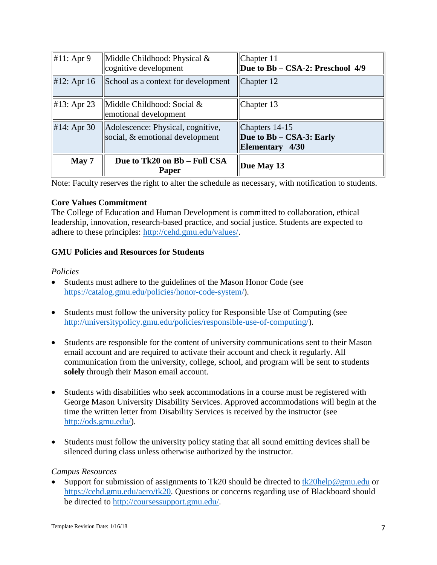| #11: Apr $9$  | Middle Childhood: Physical &<br>cognitive development                | Chapter 11<br>Due to Bb - CSA-2: Preschool 4/9                |
|---------------|----------------------------------------------------------------------|---------------------------------------------------------------|
| #12: Apr $16$ | School as a context for development                                  | Chapter 12                                                    |
| #13: Apr 23   | Middle Childhood: Social &<br>emotional development                  | Chapter $13$                                                  |
| #14: Apr $30$ | Adolescence: Physical, cognitive,<br>social, & emotional development | Chapters 14-15<br>Due to Bb – CSA-3: Early<br>Elementary 4/30 |
| May 7         | Due to Tk20 on Bb - Full CSA<br>Paper                                | Due May 13                                                    |

Note: Faculty reserves the right to alter the schedule as necessary, with notification to students.

### **Core Values Commitment**

The College of Education and Human Development is committed to collaboration, ethical leadership, innovation, research-based practice, and social justice. Students are expected to adhere to these principles: [http://cehd.gmu.edu/values/.](http://cehd.gmu.edu/values/)

# **GMU Policies and Resources for Students**

### *Policies*

- Students must adhere to the guidelines of the Mason Honor Code (see [https://catalog.gmu.edu/policies/honor-code-system/\)](https://catalog.gmu.edu/policies/honor-code-system/).
- Students must follow the university policy for Responsible Use of Computing (see [http://universitypolicy.gmu.edu/policies/responsible-use-of-computing/\)](http://universitypolicy.gmu.edu/policies/responsible-use-of-computing/).
- Students are responsible for the content of university communications sent to their Mason email account and are required to activate their account and check it regularly. All communication from the university, college, school, and program will be sent to students **solely** through their Mason email account.
- Students with disabilities who seek accommodations in a course must be registered with George Mason University Disability Services. Approved accommodations will begin at the time the written letter from Disability Services is received by the instructor (see [http://ods.gmu.edu/\)](http://ods.gmu.edu/).
- Students must follow the university policy stating that all sound emitting devices shall be silenced during class unless otherwise authorized by the instructor.

### *Campus Resources*

Support for submission of assignments to Tk20 should be directed to [tk20help@gmu.edu](mailto:tk20help@gmu.edu) or [https://cehd.gmu.edu/aero/tk20.](https://cehd.gmu.edu/aero/tk20) Questions or concerns regarding use of Blackboard should be directed to [http://coursessupport.gmu.edu/.](http://coursessupport.gmu.edu/)